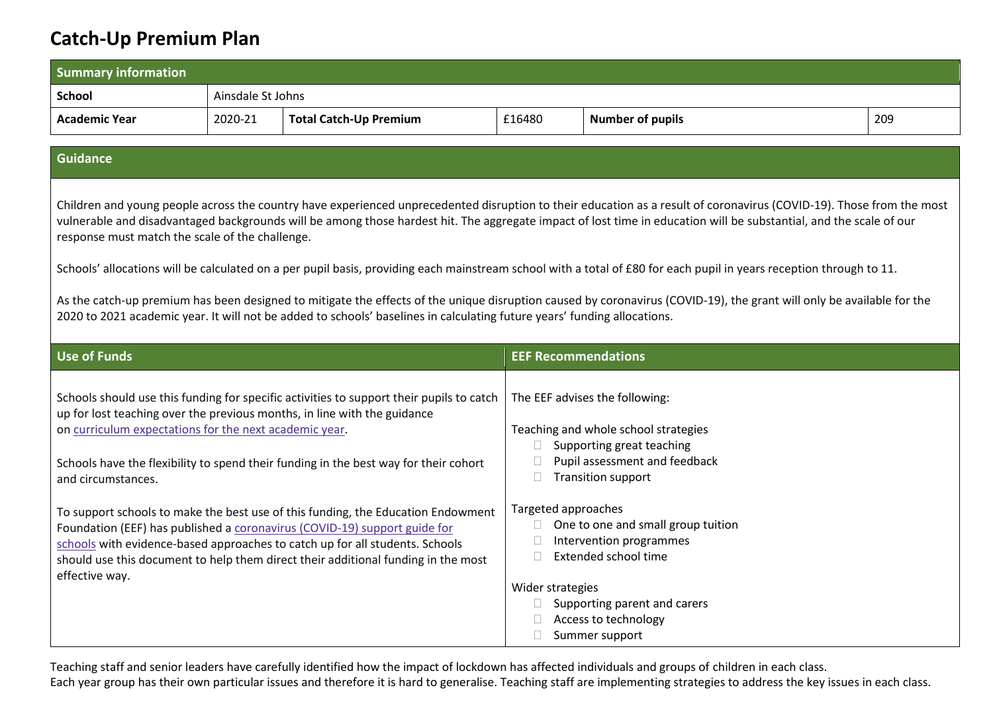## **Catch-Up Premium Plan**

| <b>Summary information</b>                                                                                                                                                                                                                                                                                                                                                                                                                                                                                                                                                                                                                                                                                                                                                                                                                                                |                   |                                                                                                                                                                                                                                                                                                                                                                                                                                                                                                                                                                                                    |                                              |                                                                                                                                                                                                                                                                                                                                      |     |
|---------------------------------------------------------------------------------------------------------------------------------------------------------------------------------------------------------------------------------------------------------------------------------------------------------------------------------------------------------------------------------------------------------------------------------------------------------------------------------------------------------------------------------------------------------------------------------------------------------------------------------------------------------------------------------------------------------------------------------------------------------------------------------------------------------------------------------------------------------------------------|-------------------|----------------------------------------------------------------------------------------------------------------------------------------------------------------------------------------------------------------------------------------------------------------------------------------------------------------------------------------------------------------------------------------------------------------------------------------------------------------------------------------------------------------------------------------------------------------------------------------------------|----------------------------------------------|--------------------------------------------------------------------------------------------------------------------------------------------------------------------------------------------------------------------------------------------------------------------------------------------------------------------------------------|-----|
| <b>School</b>                                                                                                                                                                                                                                                                                                                                                                                                                                                                                                                                                                                                                                                                                                                                                                                                                                                             | Ainsdale St Johns |                                                                                                                                                                                                                                                                                                                                                                                                                                                                                                                                                                                                    |                                              |                                                                                                                                                                                                                                                                                                                                      |     |
| <b>Academic Year</b>                                                                                                                                                                                                                                                                                                                                                                                                                                                                                                                                                                                                                                                                                                                                                                                                                                                      | 2020-21           | <b>Total Catch-Up Premium</b>                                                                                                                                                                                                                                                                                                                                                                                                                                                                                                                                                                      | £16480                                       | <b>Number of pupils</b>                                                                                                                                                                                                                                                                                                              | 209 |
|                                                                                                                                                                                                                                                                                                                                                                                                                                                                                                                                                                                                                                                                                                                                                                                                                                                                           |                   |                                                                                                                                                                                                                                                                                                                                                                                                                                                                                                                                                                                                    |                                              |                                                                                                                                                                                                                                                                                                                                      |     |
| <b>Guidance</b>                                                                                                                                                                                                                                                                                                                                                                                                                                                                                                                                                                                                                                                                                                                                                                                                                                                           |                   |                                                                                                                                                                                                                                                                                                                                                                                                                                                                                                                                                                                                    |                                              |                                                                                                                                                                                                                                                                                                                                      |     |
| Children and young people across the country have experienced unprecedented disruption to their education as a result of coronavirus (COVID-19). Those from the most<br>vulnerable and disadvantaged backgrounds will be among those hardest hit. The aggregate impact of lost time in education will be substantial, and the scale of our<br>response must match the scale of the challenge.<br>Schools' allocations will be calculated on a per pupil basis, providing each mainstream school with a total of £80 for each pupil in years reception through to 11.<br>As the catch-up premium has been designed to mitigate the effects of the unique disruption caused by coronavirus (COVID-19), the grant will only be available for the<br>2020 to 2021 academic year. It will not be added to schools' baselines in calculating future years' funding allocations. |                   |                                                                                                                                                                                                                                                                                                                                                                                                                                                                                                                                                                                                    |                                              |                                                                                                                                                                                                                                                                                                                                      |     |
| <b>Use of Funds</b>                                                                                                                                                                                                                                                                                                                                                                                                                                                                                                                                                                                                                                                                                                                                                                                                                                                       |                   |                                                                                                                                                                                                                                                                                                                                                                                                                                                                                                                                                                                                    | <b>EEF Recommendations</b>                   |                                                                                                                                                                                                                                                                                                                                      |     |
| on curriculum expectations for the next academic year.<br>and circumstances.<br>effective way.                                                                                                                                                                                                                                                                                                                                                                                                                                                                                                                                                                                                                                                                                                                                                                            |                   | Schools should use this funding for specific activities to support their pupils to catch<br>up for lost teaching over the previous months, in line with the guidance<br>Schools have the flexibility to spend their funding in the best way for their cohort<br>To support schools to make the best use of this funding, the Education Endowment<br>Foundation (EEF) has published a coronavirus (COVID-19) support guide for<br>schools with evidence-based approaches to catch up for all students. Schools<br>should use this document to help them direct their additional funding in the most | Targeted approaches<br>П<br>Wider strategies | The EEF advises the following:<br>Teaching and whole school strategies<br>Supporting great teaching<br>Pupil assessment and feedback<br><b>Transition support</b><br>One to one and small group tuition<br>Intervention programmes<br>Extended school time<br>Supporting parent and carers<br>Access to technology<br>Summer support |     |

Teaching staff and senior leaders have carefully identified how the impact of lockdown has affected individuals and groups of children in each class. Each year group has their own particular issues and therefore it is hard to generalise. Teaching staff are implementing strategies to address the key issues in each class.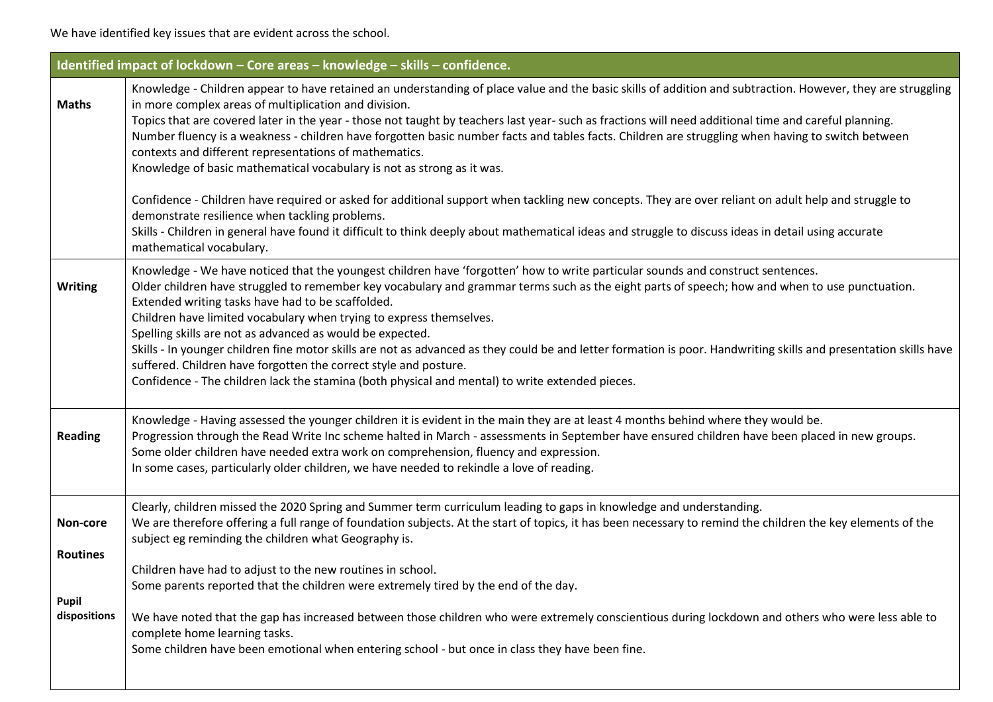We have identified key issues that are evident across the school.

|                                                      | Identified impact of lockdown - Core areas - knowledge - skills - confidence.                                                                                                                                                                                                                                                                                                                                                                                                                                                                                                                                                                                                                                                                                                                                                                                                                                                                                                                                                                                       |
|------------------------------------------------------|---------------------------------------------------------------------------------------------------------------------------------------------------------------------------------------------------------------------------------------------------------------------------------------------------------------------------------------------------------------------------------------------------------------------------------------------------------------------------------------------------------------------------------------------------------------------------------------------------------------------------------------------------------------------------------------------------------------------------------------------------------------------------------------------------------------------------------------------------------------------------------------------------------------------------------------------------------------------------------------------------------------------------------------------------------------------|
| <b>Maths</b>                                         | Knowledge - Children appear to have retained an understanding of place value and the basic skills of addition and subtraction. However, they are struggling<br>in more complex areas of multiplication and division.<br>Topics that are covered later in the year - those not taught by teachers last year- such as fractions will need additional time and careful planning.<br>Number fluency is a weakness - children have forgotten basic number facts and tables facts. Children are struggling when having to switch between<br>contexts and different representations of mathematics.<br>Knowledge of basic mathematical vocabulary is not as strong as it was.<br>Confidence - Children have required or asked for additional support when tackling new concepts. They are over reliant on adult help and struggle to<br>demonstrate resilience when tackling problems.<br>Skills - Children in general have found it difficult to think deeply about mathematical ideas and struggle to discuss ideas in detail using accurate<br>mathematical vocabulary. |
| <b>Writing</b>                                       | Knowledge - We have noticed that the youngest children have 'forgotten' how to write particular sounds and construct sentences.<br>Older children have struggled to remember key vocabulary and grammar terms such as the eight parts of speech; how and when to use punctuation.<br>Extended writing tasks have had to be scaffolded.<br>Children have limited vocabulary when trying to express themselves.<br>Spelling skills are not as advanced as would be expected.<br>Skills - In younger children fine motor skills are not as advanced as they could be and letter formation is poor. Handwriting skills and presentation skills have<br>suffered. Children have forgotten the correct style and posture.<br>Confidence - The children lack the stamina (both physical and mental) to write extended pieces.                                                                                                                                                                                                                                              |
| <b>Reading</b>                                       | Knowledge - Having assessed the younger children it is evident in the main they are at least 4 months behind where they would be.<br>Progression through the Read Write Inc scheme halted in March - assessments in September have ensured children have been placed in new groups.<br>Some older children have needed extra work on comprehension, fluency and expression.<br>In some cases, particularly older children, we have needed to rekindle a love of reading.                                                                                                                                                                                                                                                                                                                                                                                                                                                                                                                                                                                            |
| Non-core<br><b>Routines</b><br>Pupil<br>dispositions | Clearly, children missed the 2020 Spring and Summer term curriculum leading to gaps in knowledge and understanding.<br>We are therefore offering a full range of foundation subjects. At the start of topics, it has been necessary to remind the children the key elements of the<br>subject eg reminding the children what Geography is.<br>Children have had to adjust to the new routines in school.<br>Some parents reported that the children were extremely tired by the end of the day.<br>We have noted that the gap has increased between those children who were extremely conscientious during lockdown and others who were less able to<br>complete home learning tasks.<br>Some children have been emotional when entering school - but once in class they have been fine.                                                                                                                                                                                                                                                                            |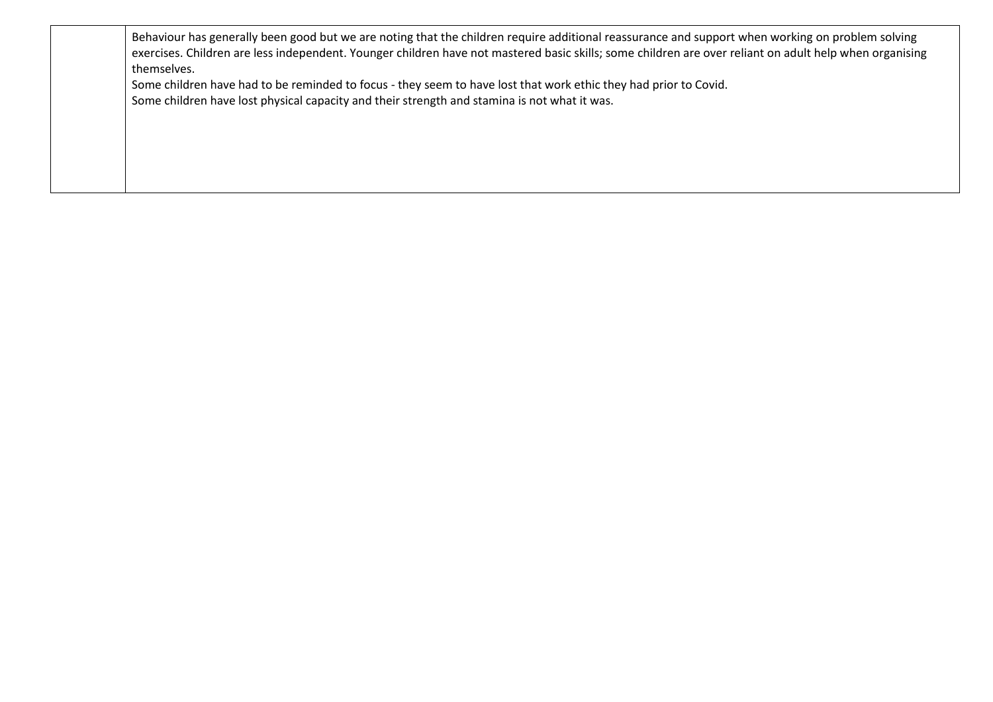| Behaviour has generally been good but we are noting that the children require additional reassurance and support when working on problem solving        |
|---------------------------------------------------------------------------------------------------------------------------------------------------------|
| exercises. Children are less independent. Younger children have not mastered basic skills; some children are over reliant on adult help when organising |
| themselves.                                                                                                                                             |
| Some children have had to be reminded to focus - they seem to have lost that work ethic they had prior to Covid.                                        |

Some children have lost physical capacity and their strength and stamina is not what it was.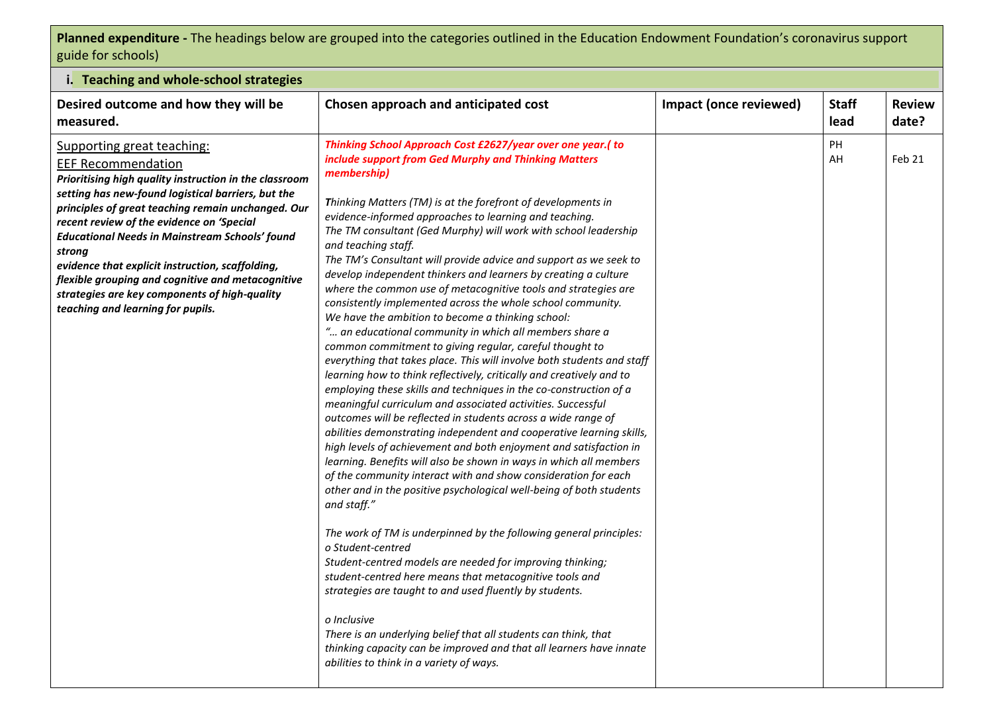## **Planned expenditure -** The headings below are grouped into the categories outlined in the Education Endowment Foundation's coronavirus support guide for schools)

| i. Teaching and whole-school strategies                                                                                                                                                                                                                                                                                                                                                                                                                                                                                                      |                                                                                                                                                                                                                                                                                                                                                                                                                                                                                                                                                                                                                                                                                                                                                                                                                                                                                                                                                                                                                                                                                                                                                                                                                                                                                                                                                                                                                                                                                                                                                                                                                                                                                                                                                                                                                                                                                                                                                                                                                                |                        |                      |                        |
|----------------------------------------------------------------------------------------------------------------------------------------------------------------------------------------------------------------------------------------------------------------------------------------------------------------------------------------------------------------------------------------------------------------------------------------------------------------------------------------------------------------------------------------------|--------------------------------------------------------------------------------------------------------------------------------------------------------------------------------------------------------------------------------------------------------------------------------------------------------------------------------------------------------------------------------------------------------------------------------------------------------------------------------------------------------------------------------------------------------------------------------------------------------------------------------------------------------------------------------------------------------------------------------------------------------------------------------------------------------------------------------------------------------------------------------------------------------------------------------------------------------------------------------------------------------------------------------------------------------------------------------------------------------------------------------------------------------------------------------------------------------------------------------------------------------------------------------------------------------------------------------------------------------------------------------------------------------------------------------------------------------------------------------------------------------------------------------------------------------------------------------------------------------------------------------------------------------------------------------------------------------------------------------------------------------------------------------------------------------------------------------------------------------------------------------------------------------------------------------------------------------------------------------------------------------------------------------|------------------------|----------------------|------------------------|
| Desired outcome and how they will be<br>measured.                                                                                                                                                                                                                                                                                                                                                                                                                                                                                            | Chosen approach and anticipated cost                                                                                                                                                                                                                                                                                                                                                                                                                                                                                                                                                                                                                                                                                                                                                                                                                                                                                                                                                                                                                                                                                                                                                                                                                                                                                                                                                                                                                                                                                                                                                                                                                                                                                                                                                                                                                                                                                                                                                                                           | Impact (once reviewed) | <b>Staff</b><br>lead | <b>Review</b><br>date? |
| Supporting great teaching:<br><b>EEF Recommendation</b><br>Prioritising high quality instruction in the classroom<br>setting has new-found logistical barriers, but the<br>principles of great teaching remain unchanged. Our<br>recent review of the evidence on 'Special<br><b>Educational Needs in Mainstream Schools' found</b><br>strong<br>evidence that explicit instruction, scaffolding,<br>flexible grouping and cognitive and metacognitive<br>strategies are key components of high-quality<br>teaching and learning for pupils. | Thinking School Approach Cost £2627/year over one year.(to<br>include support from Ged Murphy and Thinking Matters<br>membership)<br>Thinking Matters (TM) is at the forefront of developments in<br>evidence-informed approaches to learning and teaching.<br>The TM consultant (Ged Murphy) will work with school leadership<br>and teaching staff.<br>The TM's Consultant will provide advice and support as we seek to<br>develop independent thinkers and learners by creating a culture<br>where the common use of metacognitive tools and strategies are<br>consistently implemented across the whole school community.<br>We have the ambition to become a thinking school:<br>" an educational community in which all members share a<br>common commitment to giving regular, careful thought to<br>everything that takes place. This will involve both students and staff<br>learning how to think reflectively, critically and creatively and to<br>employing these skills and techniques in the co-construction of a<br>meaningful curriculum and associated activities. Successful<br>outcomes will be reflected in students across a wide range of<br>abilities demonstrating independent and cooperative learning skills,<br>high levels of achievement and both enjoyment and satisfaction in<br>learning. Benefits will also be shown in ways in which all members<br>of the community interact with and show consideration for each<br>other and in the positive psychological well-being of both students<br>and staff."<br>The work of TM is underpinned by the following general principles:<br>o Student-centred<br>Student-centred models are needed for improving thinking;<br>student-centred here means that metacognitive tools and<br>strategies are taught to and used fluently by students.<br>o Inclusive<br>There is an underlying belief that all students can think, that<br>thinking capacity can be improved and that all learners have innate<br>abilities to think in a variety of ways. |                        | PH<br>AH             | Feb 21                 |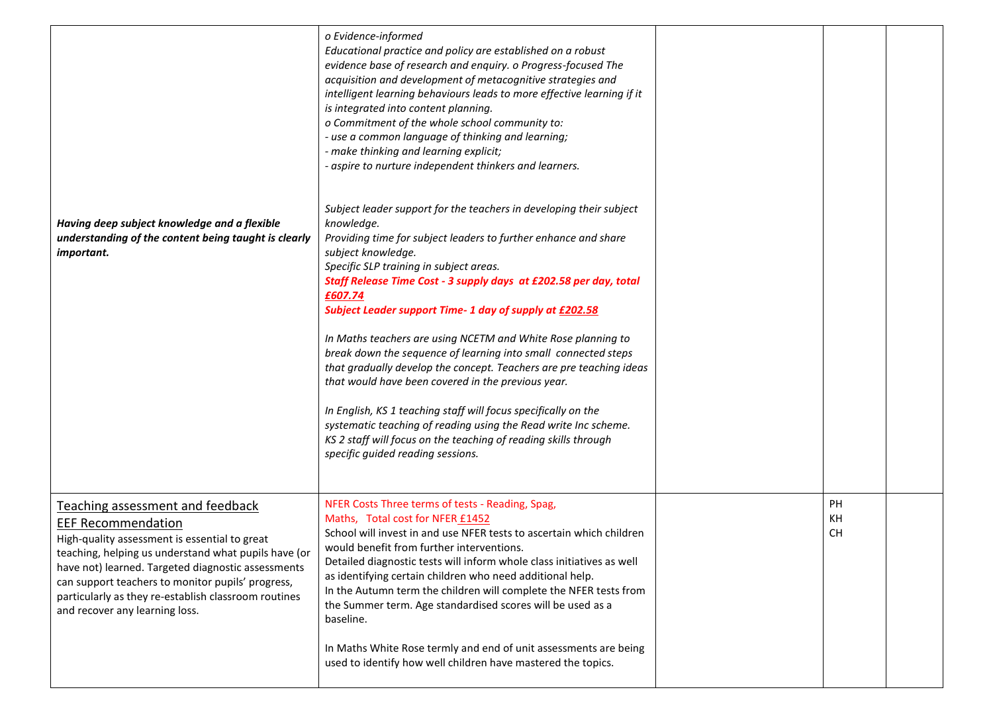| Having deep subject knowledge and a flexible<br>understanding of the content being taught is clearly<br>important.                                                                                                                                                                                                                                                          | o Evidence-informed<br>Educational practice and policy are established on a robust<br>evidence base of research and enquiry. o Progress-focused The<br>acquisition and development of metacognitive strategies and<br>intelligent learning behaviours leads to more effective learning if it<br>is integrated into content planning.<br>o Commitment of the whole school community to:<br>- use a common language of thinking and learning;<br>- make thinking and learning explicit;<br>- aspire to nurture independent thinkers and learners.<br>Subject leader support for the teachers in developing their subject<br>knowledge.<br>Providing time for subject leaders to further enhance and share<br>subject knowledge.<br>Specific SLP training in subject areas.<br>Staff Release Time Cost - 3 supply days at £202.58 per day, total<br>£607.74<br>Subject Leader support Time- 1 day of supply at £202.58<br>In Maths teachers are using NCETM and White Rose planning to<br>break down the sequence of learning into small connected steps<br>that gradually develop the concept. Teachers are pre teaching ideas<br>that would have been covered in the previous year.<br>In English, KS 1 teaching staff will focus specifically on the<br>systematic teaching of reading using the Read write Inc scheme.<br>KS 2 staff will focus on the teaching of reading skills through<br>specific guided reading sessions. |                       |  |
|-----------------------------------------------------------------------------------------------------------------------------------------------------------------------------------------------------------------------------------------------------------------------------------------------------------------------------------------------------------------------------|---------------------------------------------------------------------------------------------------------------------------------------------------------------------------------------------------------------------------------------------------------------------------------------------------------------------------------------------------------------------------------------------------------------------------------------------------------------------------------------------------------------------------------------------------------------------------------------------------------------------------------------------------------------------------------------------------------------------------------------------------------------------------------------------------------------------------------------------------------------------------------------------------------------------------------------------------------------------------------------------------------------------------------------------------------------------------------------------------------------------------------------------------------------------------------------------------------------------------------------------------------------------------------------------------------------------------------------------------------------------------------------------------------------------------------|-----------------------|--|
| Teaching assessment and feedback<br><b>EEF Recommendation</b><br>High-quality assessment is essential to great<br>teaching, helping us understand what pupils have (or<br>have not) learned. Targeted diagnostic assessments<br>can support teachers to monitor pupils' progress,<br>particularly as they re-establish classroom routines<br>and recover any learning loss. | NFER Costs Three terms of tests - Reading, Spag,<br>Maths, Total cost for NFER £1452<br>School will invest in and use NFER tests to ascertain which children<br>would benefit from further interventions.<br>Detailed diagnostic tests will inform whole class initiatives as well<br>as identifying certain children who need additional help.<br>In the Autumn term the children will complete the NFER tests from<br>the Summer term. Age standardised scores will be used as a<br>baseline.<br>In Maths White Rose termly and end of unit assessments are being<br>used to identify how well children have mastered the topics.                                                                                                                                                                                                                                                                                                                                                                                                                                                                                                                                                                                                                                                                                                                                                                                             | PH<br>KH<br><b>CH</b> |  |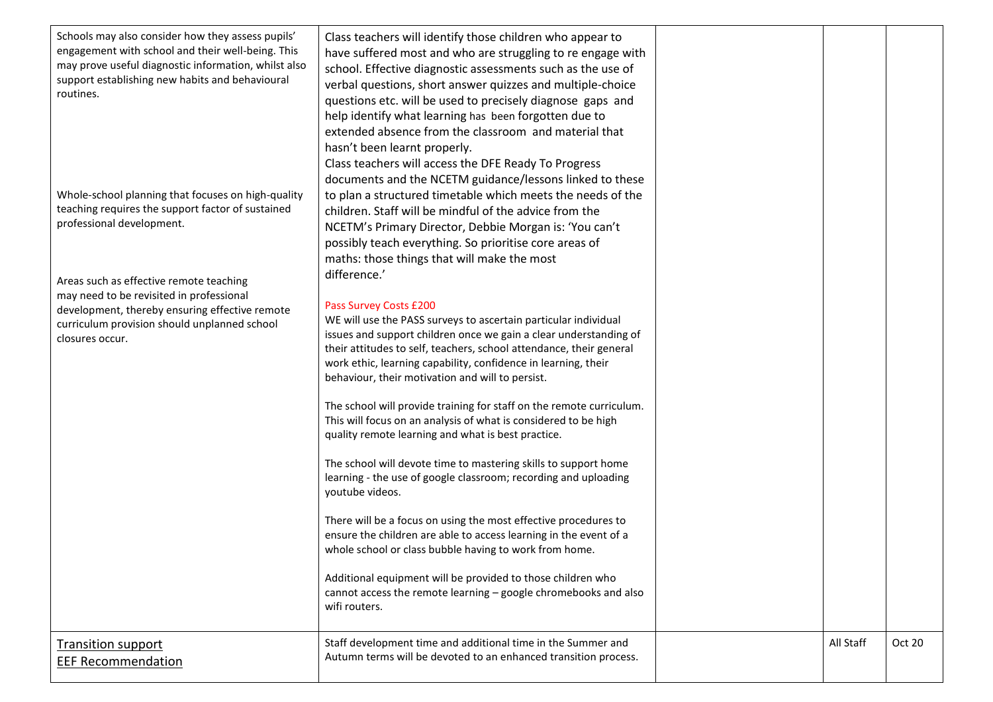| Schools may also consider how they assess pupils'<br>engagement with school and their well-being. This<br>may prove useful diagnostic information, whilst also<br>support establishing new habits and behavioural<br>routines.<br>Whole-school planning that focuses on high-quality<br>teaching requires the support factor of sustained<br>professional development.<br>Areas such as effective remote teaching<br>may need to be revisited in professional<br>development, thereby ensuring effective remote<br>curriculum provision should unplanned school<br>closures occur. | Class teachers will identify those children who appear to<br>have suffered most and who are struggling to re engage with<br>school. Effective diagnostic assessments such as the use of<br>verbal questions, short answer quizzes and multiple-choice<br>questions etc. will be used to precisely diagnose gaps and<br>help identify what learning has been forgotten due to<br>extended absence from the classroom and material that<br>hasn't been learnt properly.<br>Class teachers will access the DFE Ready To Progress<br>documents and the NCETM guidance/lessons linked to these<br>to plan a structured timetable which meets the needs of the<br>children. Staff will be mindful of the advice from the<br>NCETM's Primary Director, Debbie Morgan is: 'You can't<br>possibly teach everything. So prioritise core areas of<br>maths: those things that will make the most<br>difference.'<br>Pass Survey Costs £200<br>WE will use the PASS surveys to ascertain particular individual<br>issues and support children once we gain a clear understanding of<br>their attitudes to self, teachers, school attendance, their general<br>work ethic, learning capability, confidence in learning, their<br>behaviour, their motivation and will to persist.<br>The school will provide training for staff on the remote curriculum.<br>This will focus on an analysis of what is considered to be high<br>quality remote learning and what is best practice.<br>The school will devote time to mastering skills to support home<br>learning - the use of google classroom; recording and uploading<br>youtube videos.<br>There will be a focus on using the most effective procedures to<br>ensure the children are able to access learning in the event of a<br>whole school or class bubble having to work from home.<br>Additional equipment will be provided to those children who<br>cannot access the remote learning - google chromebooks and also<br>wifi routers. |           |        |  |
|------------------------------------------------------------------------------------------------------------------------------------------------------------------------------------------------------------------------------------------------------------------------------------------------------------------------------------------------------------------------------------------------------------------------------------------------------------------------------------------------------------------------------------------------------------------------------------|-------------------------------------------------------------------------------------------------------------------------------------------------------------------------------------------------------------------------------------------------------------------------------------------------------------------------------------------------------------------------------------------------------------------------------------------------------------------------------------------------------------------------------------------------------------------------------------------------------------------------------------------------------------------------------------------------------------------------------------------------------------------------------------------------------------------------------------------------------------------------------------------------------------------------------------------------------------------------------------------------------------------------------------------------------------------------------------------------------------------------------------------------------------------------------------------------------------------------------------------------------------------------------------------------------------------------------------------------------------------------------------------------------------------------------------------------------------------------------------------------------------------------------------------------------------------------------------------------------------------------------------------------------------------------------------------------------------------------------------------------------------------------------------------------------------------------------------------------------------------------------------------------------------------------------------------------------------------------------------|-----------|--------|--|
| <b>Transition support</b><br><b>EEF Recommendation</b>                                                                                                                                                                                                                                                                                                                                                                                                                                                                                                                             | Staff development time and additional time in the Summer and<br>Autumn terms will be devoted to an enhanced transition process.                                                                                                                                                                                                                                                                                                                                                                                                                                                                                                                                                                                                                                                                                                                                                                                                                                                                                                                                                                                                                                                                                                                                                                                                                                                                                                                                                                                                                                                                                                                                                                                                                                                                                                                                                                                                                                                     | All Staff | Oct 20 |  |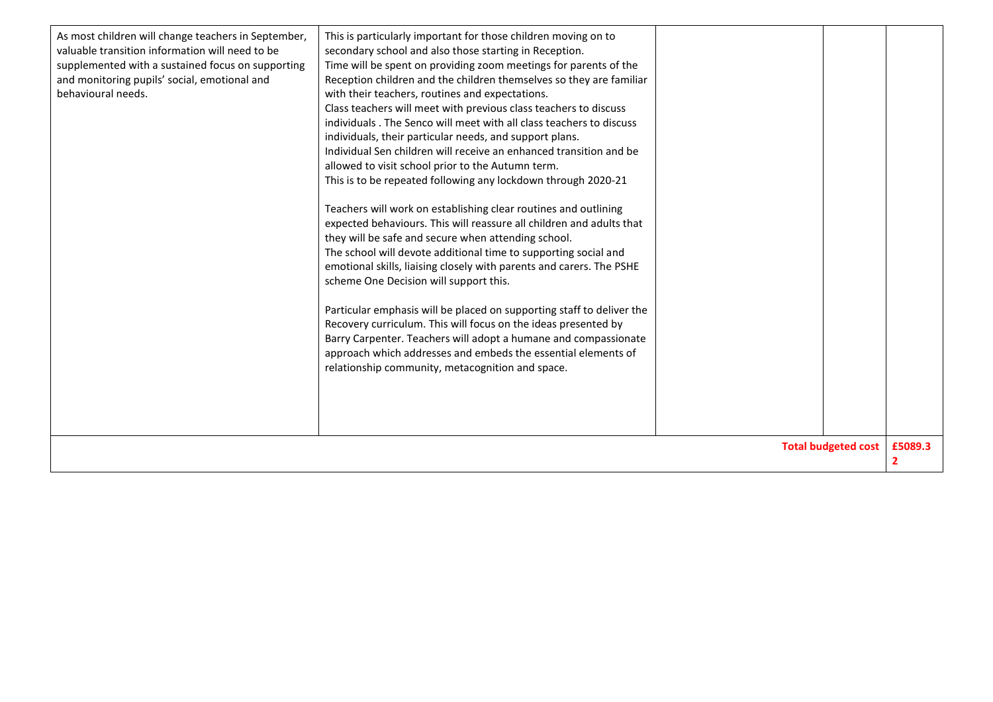| As most children will change teachers in September,<br>valuable transition information will need to be<br>supplemented with a sustained focus on supporting<br>and monitoring pupils' social, emotional and<br>behavioural needs. | This is particularly important for those children moving on to<br>secondary school and also those starting in Reception.<br>Time will be spent on providing zoom meetings for parents of the<br>Reception children and the children themselves so they are familiar<br>with their teachers, routines and expectations.<br>Class teachers will meet with previous class teachers to discuss<br>individuals. The Senco will meet with all class teachers to discuss<br>individuals, their particular needs, and support plans.<br>Individual Sen children will receive an enhanced transition and be<br>allowed to visit school prior to the Autumn term.<br>This is to be repeated following any lockdown through 2020-21<br>Teachers will work on establishing clear routines and outlining<br>expected behaviours. This will reassure all children and adults that<br>they will be safe and secure when attending school.<br>The school will devote additional time to supporting social and<br>emotional skills, liaising closely with parents and carers. The PSHE<br>scheme One Decision will support this.<br>Particular emphasis will be placed on supporting staff to deliver the<br>Recovery curriculum. This will focus on the ideas presented by<br>Barry Carpenter. Teachers will adopt a humane and compassionate<br>approach which addresses and embeds the essential elements of<br>relationship community, metacognition and space. |  |  | £5089.3 |
|-----------------------------------------------------------------------------------------------------------------------------------------------------------------------------------------------------------------------------------|----------------------------------------------------------------------------------------------------------------------------------------------------------------------------------------------------------------------------------------------------------------------------------------------------------------------------------------------------------------------------------------------------------------------------------------------------------------------------------------------------------------------------------------------------------------------------------------------------------------------------------------------------------------------------------------------------------------------------------------------------------------------------------------------------------------------------------------------------------------------------------------------------------------------------------------------------------------------------------------------------------------------------------------------------------------------------------------------------------------------------------------------------------------------------------------------------------------------------------------------------------------------------------------------------------------------------------------------------------------------------------------------------------------------------------------------------|--|--|---------|
| <b>Total budgeted cost</b>                                                                                                                                                                                                        |                                                                                                                                                                                                                                                                                                                                                                                                                                                                                                                                                                                                                                                                                                                                                                                                                                                                                                                                                                                                                                                                                                                                                                                                                                                                                                                                                                                                                                                    |  |  |         |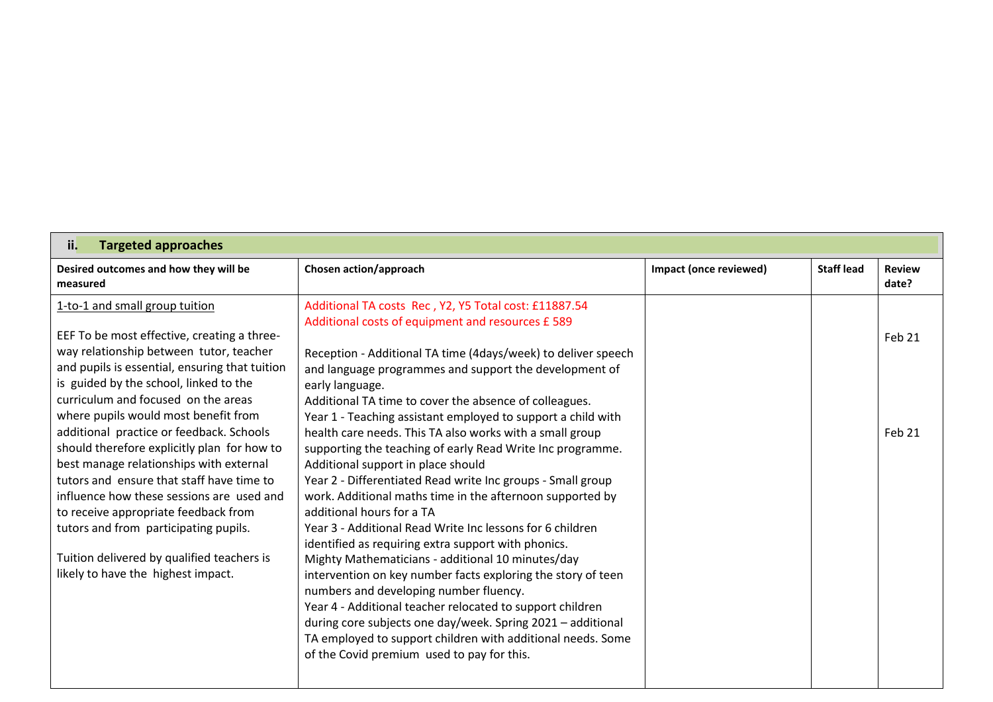| <b>Targeted approaches</b><br>ii.                                                                                                                                                                                                                                                                                                                                                                                                                                                                                                                                                                                                                                                                        |                                                                                                                                                                                                                                                                                                                                                                                                                                                                                                                                                                                                                                                                                                                                                                                                                                                                                                                                                                                                                                                                                                                                                                                           |                        |                   |                        |
|----------------------------------------------------------------------------------------------------------------------------------------------------------------------------------------------------------------------------------------------------------------------------------------------------------------------------------------------------------------------------------------------------------------------------------------------------------------------------------------------------------------------------------------------------------------------------------------------------------------------------------------------------------------------------------------------------------|-------------------------------------------------------------------------------------------------------------------------------------------------------------------------------------------------------------------------------------------------------------------------------------------------------------------------------------------------------------------------------------------------------------------------------------------------------------------------------------------------------------------------------------------------------------------------------------------------------------------------------------------------------------------------------------------------------------------------------------------------------------------------------------------------------------------------------------------------------------------------------------------------------------------------------------------------------------------------------------------------------------------------------------------------------------------------------------------------------------------------------------------------------------------------------------------|------------------------|-------------------|------------------------|
| Desired outcomes and how they will be<br>measured                                                                                                                                                                                                                                                                                                                                                                                                                                                                                                                                                                                                                                                        | Chosen action/approach                                                                                                                                                                                                                                                                                                                                                                                                                                                                                                                                                                                                                                                                                                                                                                                                                                                                                                                                                                                                                                                                                                                                                                    | Impact (once reviewed) | <b>Staff lead</b> | <b>Review</b><br>date? |
| 1-to-1 and small group tuition<br>EEF To be most effective, creating a three-<br>way relationship between tutor, teacher<br>and pupils is essential, ensuring that tuition<br>is guided by the school, linked to the<br>curriculum and focused on the areas<br>where pupils would most benefit from<br>additional practice or feedback. Schools<br>should therefore explicitly plan for how to<br>best manage relationships with external<br>tutors and ensure that staff have time to<br>influence how these sessions are used and<br>to receive appropriate feedback from<br>tutors and from participating pupils.<br>Tuition delivered by qualified teachers is<br>likely to have the highest impact. | Additional TA costs Rec, Y2, Y5 Total cost: £11887.54<br>Additional costs of equipment and resources £ 589<br>Reception - Additional TA time (4days/week) to deliver speech<br>and language programmes and support the development of<br>early language.<br>Additional TA time to cover the absence of colleagues.<br>Year 1 - Teaching assistant employed to support a child with<br>health care needs. This TA also works with a small group<br>supporting the teaching of early Read Write Inc programme.<br>Additional support in place should<br>Year 2 - Differentiated Read write Inc groups - Small group<br>work. Additional maths time in the afternoon supported by<br>additional hours for a TA<br>Year 3 - Additional Read Write Inc lessons for 6 children<br>identified as requiring extra support with phonics.<br>Mighty Mathematicians - additional 10 minutes/day<br>intervention on key number facts exploring the story of teen<br>numbers and developing number fluency.<br>Year 4 - Additional teacher relocated to support children<br>during core subjects one day/week. Spring 2021 - additional<br>TA employed to support children with additional needs. Some |                        |                   | Feb 21<br>Feb 21       |
|                                                                                                                                                                                                                                                                                                                                                                                                                                                                                                                                                                                                                                                                                                          | of the Covid premium used to pay for this.                                                                                                                                                                                                                                                                                                                                                                                                                                                                                                                                                                                                                                                                                                                                                                                                                                                                                                                                                                                                                                                                                                                                                |                        |                   |                        |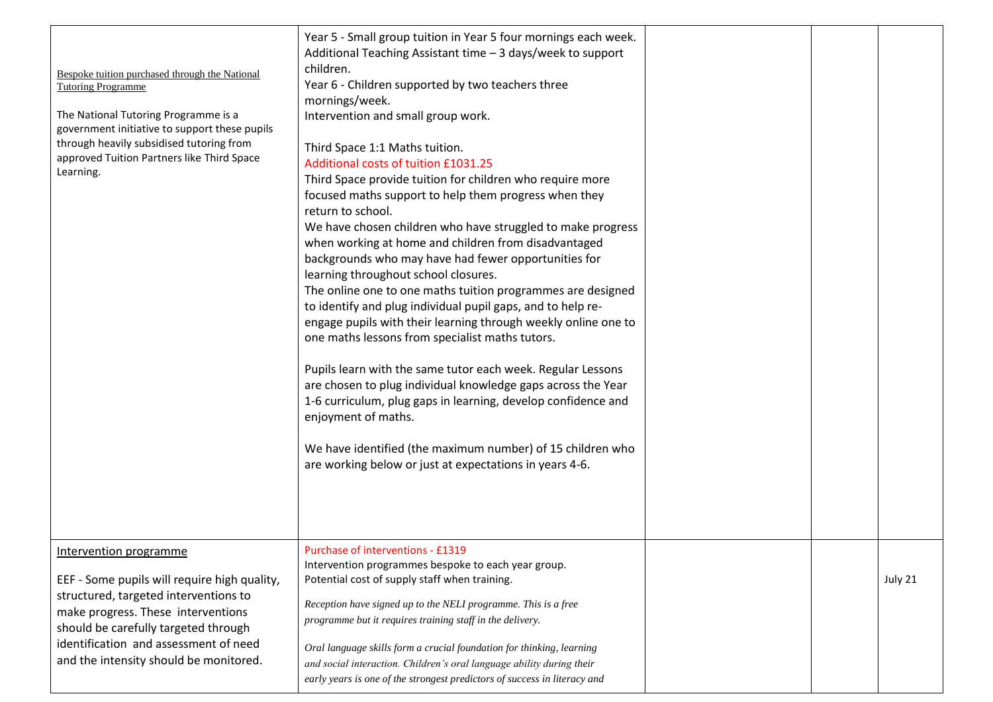|                                                | Year 5 - Small group tuition in Year 5 four mornings each week.           |  |         |
|------------------------------------------------|---------------------------------------------------------------------------|--|---------|
|                                                | Additional Teaching Assistant time - 3 days/week to support               |  |         |
| Bespoke tuition purchased through the National | children.                                                                 |  |         |
| <b>Tutoring Programme</b>                      | Year 6 - Children supported by two teachers three                         |  |         |
| The National Tutoring Programme is a           | mornings/week.                                                            |  |         |
| government initiative to support these pupils  | Intervention and small group work.                                        |  |         |
| through heavily subsidised tutoring from       | Third Space 1:1 Maths tuition.                                            |  |         |
| approved Tuition Partners like Third Space     | Additional costs of tuition £1031.25                                      |  |         |
| Learning.                                      | Third Space provide tuition for children who require more                 |  |         |
|                                                | focused maths support to help them progress when they                     |  |         |
|                                                | return to school.                                                         |  |         |
|                                                | We have chosen children who have struggled to make progress               |  |         |
|                                                | when working at home and children from disadvantaged                      |  |         |
|                                                | backgrounds who may have had fewer opportunities for                      |  |         |
|                                                | learning throughout school closures.                                      |  |         |
|                                                | The online one to one maths tuition programmes are designed               |  |         |
|                                                | to identify and plug individual pupil gaps, and to help re-               |  |         |
|                                                | engage pupils with their learning through weekly online one to            |  |         |
|                                                | one maths lessons from specialist maths tutors.                           |  |         |
|                                                | Pupils learn with the same tutor each week. Regular Lessons               |  |         |
|                                                | are chosen to plug individual knowledge gaps across the Year              |  |         |
|                                                | 1-6 curriculum, plug gaps in learning, develop confidence and             |  |         |
|                                                | enjoyment of maths.                                                       |  |         |
|                                                |                                                                           |  |         |
|                                                | We have identified (the maximum number) of 15 children who                |  |         |
|                                                | are working below or just at expectations in years 4-6.                   |  |         |
|                                                |                                                                           |  |         |
|                                                |                                                                           |  |         |
|                                                |                                                                           |  |         |
| Intervention programme                         | Purchase of interventions - £1319                                         |  |         |
|                                                | Intervention programmes bespoke to each year group.                       |  |         |
| EEF - Some pupils will require high quality,   | Potential cost of supply staff when training.                             |  | July 21 |
| structured, targeted interventions to          | Reception have signed up to the NELI programme. This is a free            |  |         |
| make progress. These interventions             | programme but it requires training staff in the delivery.                 |  |         |
| should be carefully targeted through           |                                                                           |  |         |
| identification and assessment of need          | Oral language skills form a crucial foundation for thinking, learning     |  |         |
| and the intensity should be monitored.         | and social interaction. Children's oral language ability during their     |  |         |
|                                                | early years is one of the strongest predictors of success in literacy and |  |         |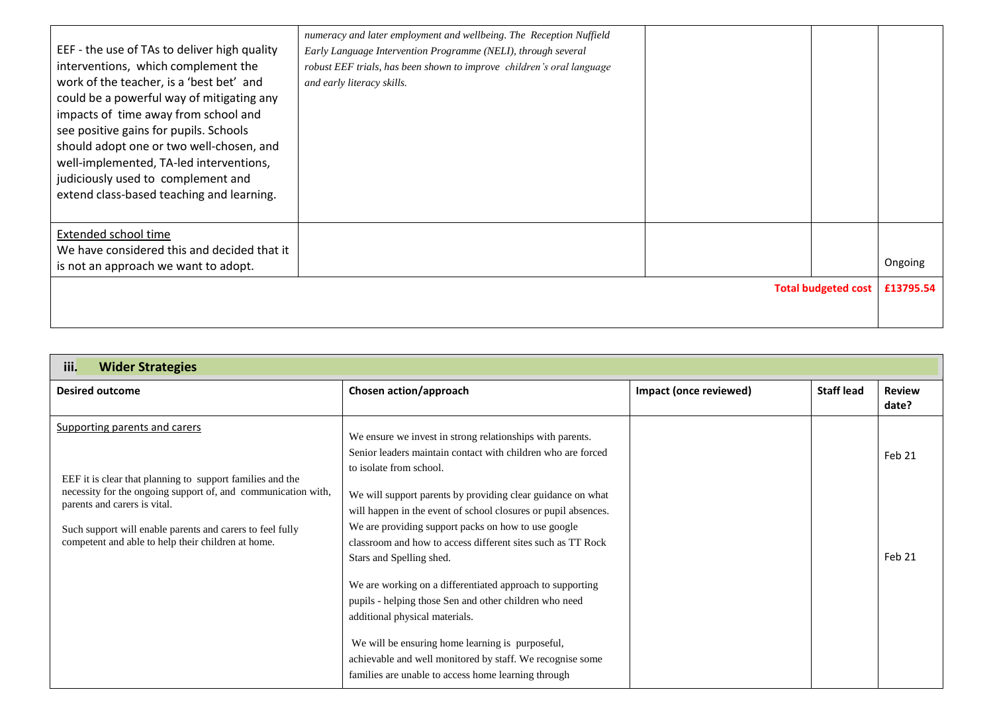|                                              | numeracy and later employment and wellbeing. The Reception Nuffield   |                            |           |
|----------------------------------------------|-----------------------------------------------------------------------|----------------------------|-----------|
| EEF - the use of TAs to deliver high quality | Early Language Intervention Programme (NELI), through several         |                            |           |
| interventions, which complement the          | robust EEF trials, has been shown to improve children's oral language |                            |           |
| work of the teacher, is a 'best bet' and     | and early literacy skills.                                            |                            |           |
| could be a powerful way of mitigating any    |                                                                       |                            |           |
| impacts of time away from school and         |                                                                       |                            |           |
| see positive gains for pupils. Schools       |                                                                       |                            |           |
| should adopt one or two well-chosen, and     |                                                                       |                            |           |
| well-implemented, TA-led interventions,      |                                                                       |                            |           |
| judiciously used to complement and           |                                                                       |                            |           |
| extend class-based teaching and learning.    |                                                                       |                            |           |
|                                              |                                                                       |                            |           |
| Extended school time                         |                                                                       |                            |           |
| We have considered this and decided that it  |                                                                       |                            |           |
| is not an approach we want to adopt.         |                                                                       |                            | Ongoing   |
|                                              |                                                                       | <b>Total budgeted cost</b> | £13795.54 |
|                                              |                                                                       |                            |           |
|                                              |                                                                       |                            |           |

| iii.<br><b>Wider Strategies</b>                                                                                                                                                                                                                                                                                |                                                                                                                                                                                                                                                                                                                                                                                                                                                                                                                                                                                                                                                                                                                                                                          |                        |                   |                        |
|----------------------------------------------------------------------------------------------------------------------------------------------------------------------------------------------------------------------------------------------------------------------------------------------------------------|--------------------------------------------------------------------------------------------------------------------------------------------------------------------------------------------------------------------------------------------------------------------------------------------------------------------------------------------------------------------------------------------------------------------------------------------------------------------------------------------------------------------------------------------------------------------------------------------------------------------------------------------------------------------------------------------------------------------------------------------------------------------------|------------------------|-------------------|------------------------|
| <b>Desired outcome</b>                                                                                                                                                                                                                                                                                         | Chosen action/approach                                                                                                                                                                                                                                                                                                                                                                                                                                                                                                                                                                                                                                                                                                                                                   | Impact (once reviewed) | <b>Staff lead</b> | <b>Review</b><br>date? |
| Supporting parents and carers<br>EEF it is clear that planning to support families and the<br>necessity for the ongoing support of, and communication with,<br>parents and carers is vital.<br>Such support will enable parents and carers to feel fully<br>competent and able to help their children at home. | We ensure we invest in strong relationships with parents.<br>Senior leaders maintain contact with children who are forced<br>to isolate from school.<br>We will support parents by providing clear guidance on what<br>will happen in the event of school closures or pupil absences.<br>We are providing support packs on how to use google<br>classroom and how to access different sites such as TT Rock<br>Stars and Spelling shed.<br>We are working on a differentiated approach to supporting<br>pupils - helping those Sen and other children who need<br>additional physical materials.<br>We will be ensuring home learning is purposeful,<br>achievable and well monitored by staff. We recognise some<br>families are unable to access home learning through |                        |                   | Feb 21<br>Feb 21       |